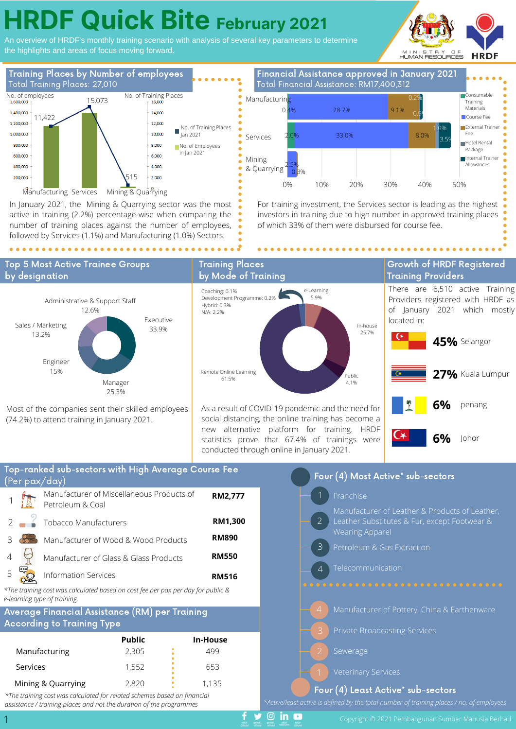## **HRDF Quick Bite February 2021**

An overview of HRDF's monthly training scenario with analysis of several key parameters to determine the highlights and areas of focus moving forward.



Training Places by Number of employees Total Training Places: 27,010 No. of employees No. of Training Places<br>15,073 - 16,000 - 17,600,000 - 17,160,000 - 16,000 15,073 Manufacturir 0.4% 28.7% 1.400,000 14,000 11,422  $1,200,000$  $12000$ ■ No. of Training Places 1,000,000 10,000 Jan 2021 2.0% 33.0% Services  $800,000$ 8,000 No. of Employees in Jan 2021 6,000 600,000 Mining 2.5% 400,000 4,000 & Quarrying 0.3% 200,000 515 2,000 Manufacturing Services Mining & Quarrying

In January 2021, the Mining & Quarrying sector was the most active in training (2.2%) percentage-wise when comparing the number of training places against the number of employees, followed by Services (1.1%) and Manufacturing (1.0%) Sectors.

. . . . . . . . . . . . . .

#### 0% 10% 20% 30% 40% 50% Financial Assistance approved in January 2021 Total Financial Assistance: RM17,400,312 **Consumab** Training Materials 0.2%  $0.9<sup>o</sup>$ 9.1% 1.0% 3.5% Hotel Rental  $8.0\%$ **Course** Fee **External Trainer** Fee Package Internal Trainer Allowances

For training investment, the Services sector is leading as the highest investors in training due to high number in approved training places of which 33% of them were disbursed for course fee.



|                                                                                                                                                 |                                           | conducted through online in January 2021. |                                              |                                           |                                                                                                                                 |  |
|-------------------------------------------------------------------------------------------------------------------------------------------------|-------------------------------------------|-------------------------------------------|----------------------------------------------|-------------------------------------------|---------------------------------------------------------------------------------------------------------------------------------|--|
| Top-ranked sub-sectors with High Average Course Fee<br>(Per pax/day)                                                                            |                                           |                                           |                                              | Four (4) Most Active* sub-sectors         |                                                                                                                                 |  |
| Petroleum & Coal                                                                                                                                | Manufacturer of Miscellaneous Products of | RM2,777                                   |                                              | Franchise                                 | Manufacturer of Leather & Products of Leather,                                                                                  |  |
|                                                                                                                                                 | Tobacco Manufacturers                     |                                           |                                              | $\overline{2}$                            | Leather Substitutes & Fur, except Footwear &<br><b>Wearing Apparel</b><br>Petroleum & Gas Extraction                            |  |
| 3                                                                                                                                               | Manufacturer of Wood & Wood Products      |                                           |                                              | 3                                         |                                                                                                                                 |  |
| 4                                                                                                                                               | Manufacturer of Glass & Glass Products    |                                           |                                              |                                           |                                                                                                                                 |  |
| 5<br><b>Information Services</b>                                                                                                                |                                           | <b>RM516</b>                              |                                              | Telecommunication<br>4                    |                                                                                                                                 |  |
| *The training cost was calculated based on cost fee per pax per day for public &<br>e-learning type of training.                                |                                           |                                           |                                              |                                           |                                                                                                                                 |  |
| <b>Average Financial Assistance (RM) per Training</b>                                                                                           |                                           | 4                                         | Manufacturer of Pottery, China & Earthenware |                                           |                                                                                                                                 |  |
| <b>According to Training Type</b>                                                                                                               |                                           |                                           |                                              | <b>Private Broadcasting Services</b><br>3 |                                                                                                                                 |  |
|                                                                                                                                                 | <b>Public</b>                             | <b>In-House</b>                           |                                              |                                           |                                                                                                                                 |  |
| Manufacturing                                                                                                                                   | 2,305                                     | 499                                       |                                              | Sewerage                                  |                                                                                                                                 |  |
| Services                                                                                                                                        | 1,552                                     | 653                                       |                                              | <b>Veterinary Services</b>                |                                                                                                                                 |  |
| Mining & Quarrying                                                                                                                              | 2,820                                     | 1,135                                     |                                              |                                           |                                                                                                                                 |  |
| *The training cost was calculated for related schemes based on financial<br>assistance / training places and not the duration of the programmes |                                           |                                           |                                              |                                           | Four (4) Least Active* sub-sectors<br>*Active/least active is defined by the total number of training places / no. of employees |  |
|                                                                                                                                                 |                                           |                                           | $\circ$ in $\bullet$                         |                                           | Copyright © 2021 Pembangunan Sumber Manusia Berhad                                                                              |  |